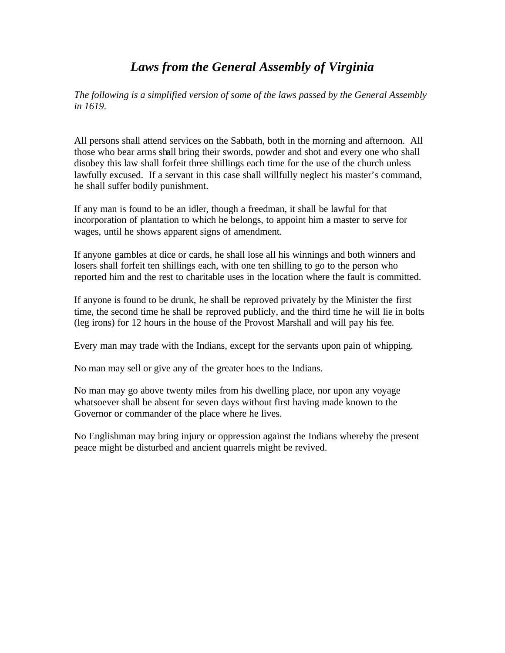## *Laws from the General Assembly of Virginia*

*The following is a simplified version of some of the laws passed by the General Assembly in 1619*.

All persons shall attend services on the Sabbath, both in the morning and afternoon. All those who bear arms shall bring their swords, powder and shot and every one who shall disobey this law shall forfeit three shillings each time for the use of the church unless lawfully excused. If a servant in this case shall willfully neglect his master's command, he shall suffer bodily punishment.

If any man is found to be an idler, though a freedman, it shall be lawful for that incorporation of plantation to which he belongs, to appoint him a master to serve for wages, until he shows apparent signs of amendment.

If anyone gambles at dice or cards, he shall lose all his winnings and both winners and losers shall forfeit ten shillings each, with one ten shilling to go to the person who reported him and the rest to charitable uses in the location where the fault is committed.

If anyone is found to be drunk, he shall be reproved privately by the Minister the first time, the second time he shall be reproved publicly, and the third time he will lie in bolts (leg irons) for 12 hours in the house of the Provost Marshall and will pay his fee.

Every man may trade with the Indians, except for the servants upon pain of whipping.

No man may sell or give any of the greater hoes to the Indians.

No man may go above twenty miles from his dwelling place, nor upon any voyage whatsoever shall be absent for seven days without first having made known to the Governor or commander of the place where he lives.

No Englishman may bring injury or oppression against the Indians whereby the present peace might be disturbed and ancient quarrels might be revived.